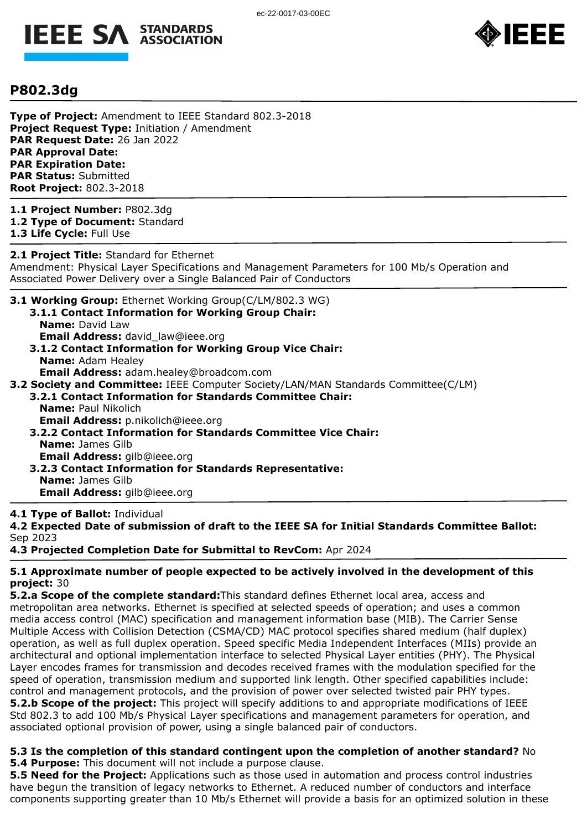



## **P802.3dg**

**Type of Project:** Amendment to IEEE Standard 802.3-2018 **Project Request Type:** Initiation / Amendment **PAR Request Date:** 26 Jan 2022 **PAR Approval Date: PAR Expiration Date: PAR Status:** Submitted **Root Project:** 802.3-2018

**1.1 Project Number:** P802.3dg **1.2 Type of Document:** Standard **1.3 Life Cycle:** Full Use

**2.1 Project Title:** Standard for Ethernet Amendment: Physical Layer Specifications and Management Parameters for 100 Mb/s Operation and Associated Power Delivery over a Single Balanced Pair of Conductors

**3.1 Working Group:** Ethernet Working Group(C/LM/802.3 WG) **3.1.1 Contact Information for Working Group Chair:** 

- **Name:** David Law **Email Address:** david law@ieee.org
- **3.1.2 Contact Information for Working Group Vice Chair: Name:** Adam Healey **Email Address:** adam.healey@broadcom.com
- **3.2 Society and Committee:** IEEE Computer Society/LAN/MAN Standards Committee(C/LM)
	- **3.2.1 Contact Information for Standards Committee Chair: Name:** Paul Nikolich **Email Address:** p.nikolich@ieee.org
		- **3.2.2 Contact Information for Standards Committee Vice Chair: Name:** James Gilb **Email Address:** gilb@ieee.org
		- **3.2.3 Contact Information for Standards Representative: Name:** James Gilb **Email Address:** gilb@ieee.org

## **4.1 Type of Ballot:** Individual

**4.2 Expected Date of submission of draft to the IEEE SA for Initial Standards Committee Ballot:**  Sep 2023

**4.3 Projected Completion Date for Submittal to RevCom:** Apr 2024

## **5.1 Approximate number of people expected to be actively involved in the development of this project:** 30

**5.2.a Scope of the complete standard:**This standard defines Ethernet local area, access and metropolitan area networks. Ethernet is specified at selected speeds of operation; and uses a common media access control (MAC) specification and management information base (MIB). The Carrier Sense Multiple Access with Collision Detection (CSMA/CD) MAC protocol specifies shared medium (half duplex) operation, as well as full duplex operation. Speed specific Media Independent Interfaces (MIIs) provide an architectural and optional implementation interface to selected Physical Layer entities (PHY). The Physical Layer encodes frames for transmission and decodes received frames with the modulation specified for the speed of operation, transmission medium and supported link length. Other specified capabilities include: control and management protocols, and the provision of power over selected twisted pair PHY types. **5.2.b Scope of the project:** This project will specify additions to and appropriate modifications of IEEE Std 802.3 to add 100 Mb/s Physical Layer specifications and management parameters for operation, and associated optional provision of power, using a single balanced pair of conductors.

**5.3 Is the completion of this standard contingent upon the completion of another standard?** No **5.4 Purpose:** This document will not include a purpose clause.

**5.5 Need for the Project:** Applications such as those used in automation and process control industries have begun the transition of legacy networks to Ethernet. A reduced number of conductors and interface components supporting greater than 10 Mb/s Ethernet will provide a basis for an optimized solution in these